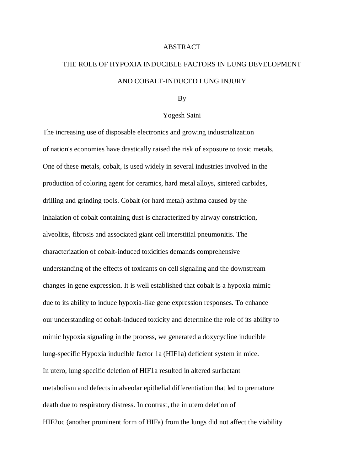## ABSTRACT

## THE ROLE OF HYPOXIA INDUCIBLE FACTORS IN LUNG DEVELOPMENT AND COBALT-INDUCED LUNG INJURY

## By

## Yogesh Saini

The increasing use of disposable electronics and growing industrialization of nation's economies have drastically raised the risk of exposure to toxic metals. One of these metals, cobalt, is used widely in several industries involved in the production of coloring agent for ceramics, hard metal alloys, sintered carbides, drilling and grinding tools. Cobalt (or hard metal) asthma caused by the inhalation of cobalt containing dust is characterized by airway constriction, alveolitis, fibrosis and associated giant cell interstitial pneumonitis. The characterization of cobalt-induced toxicities demands comprehensive understanding of the effects of toxicants on cell signaling and the downstream changes in gene expression. It is well established that cobalt is a hypoxia mimic due to its ability to induce hypoxia-like gene expression responses. To enhance our understanding of cobalt-induced toxicity and determine the role of its ability to mimic hypoxia signaling in the process, we generated a doxycycline inducible lung-specific Hypoxia inducible factor 1a (HIF1a) deficient system in mice. In utero, lung specific deletion of HIF1a resulted in altered surfactant metabolism and defects in alveolar epithelial differentiation that led to premature death due to respiratory distress. In contrast, the in utero deletion of HIF2oc (another prominent form of HIFa) from the lungs did not affect the viability